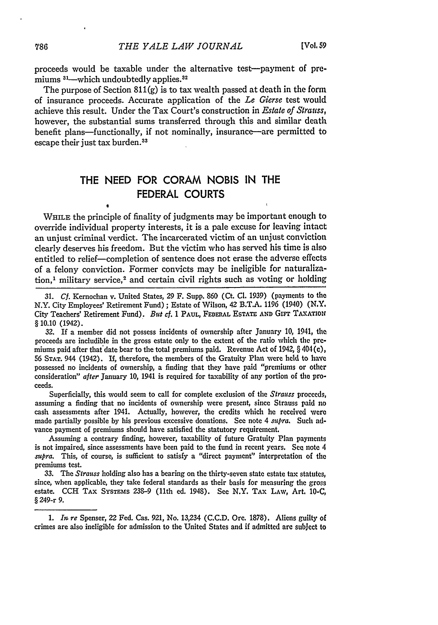proceeds would be taxable under the alternative test-payment of premiums  $31$ —which undoubtedly applies. $32$ 

The purpose of Section  $811(g)$  is to tax wealth passed at death in the form of insurance proceeds. Accurate application of the *Le* Gierse test would achieve this result. Under the Tax Court's construction in *Estate of Strauss,* however, the substantial sums transferred through this and similar death benefit plans-functionally, if not nominally, insurance-are permitted to escape their just tax burden.<sup>31</sup>

## THE **NEED** FOR CORAM **NOBIS IN** THE FEDERAL **COURTS**

I

WHILE the principle of finality of judgments may be important enough to override individual property interests, it is a pale excuse for leaving intact an unjust criminal verdict. The incarcerated victim of an unjust conviction clearly deserves his freedom. But the victim who has served his time is also entitled to relief-completion of sentence does not erase the adverse effects of a felony conviction. Former convicts may be ineligible for naturalization,<sup>1</sup> military service,<sup>2</sup> and certain civil rights such as voting or holding

32. If a member did not possess incidents of ownership after January **10,** 1941, the proceeds are includible in the gross estate only to the extent of the ratio which the premiums paid after that'date bear to the total premiums paid. Revenue Act of 1942, § 404(c), **56 STAT.** 944 (1942). **If,** therefore, the members of the Gratuity Plan were held to have possessed no incidents of ownership, a finding that they have paid "premiums or other consideration" *after* January **10,** 1941 is required for taxability of any portion of the proceeds.

Superficially, this would seem to call for complete exclusion of the *Strauss* proceeds, assuming a finding that no incidents of ownership were present, since Strauss paid no cash assessments after 1941. Actually, however, the credits which he received were made partially possible by his previous excessive donations. See note 4 *supra.* Such advance payment of premiums should have satisfied the statutory requirement.

Assuming a contrary finding, however, taxability of future Gratuity Plan payments is not impaired, since assessments have been paid to the fund in recent years. **Sea** note 4 *supra.* This, of course, is sufficient to satisfy a "direct payment" interpretation of the premiums test.

33. The *Strauss* holding also has a bearing on the thirty-seven state estate tax statutes, since, when applicable, they take federal standards as their basis for measuring the gross estate. **CCH** TAx SxsTEms 239-9 (11th ed. 1948). See N.Y. TAx LAw, Art. **10-C,** § 249-r 9.

*1. In re* Spenser, 22 Fed. Cas. 921, No. 13,234 (C.C.D. Ore. 1878). Aliens guilty of crimes are also ineligible for admission to the United States and if admitted are subject to

<sup>31.</sup> *Cf.* Kernochan v. United States, 29 F. Supp. **860** (Ct. *Cl.* 1939) (payments to the N.Y. City Employees' Retirement Fund); Estate of Wilson, 42 B.T.A. 1196 (1940) (N.Y. City Teachers' Retirement Fund). *But cf.* **1 PAUL, FEDERAL ESTATE AND** Girt **TAxATIoN** § 10.10 (1942).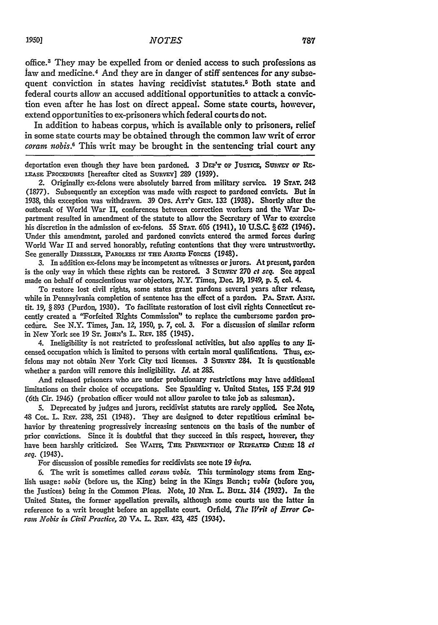office. 3 They may be expelled from or denied access to such professions as law and medicine.4 And they are in danger of stiff sentences for any subsequent conviction in states having recidivist statutes.<sup>5</sup> Both state and federal courts allow an accused additional opportunities to attack a conviction even after he has lost on direct appeal. Some state courts, however, extend opportunities to ex-prisoners which federal courts do not.

In addition to habeas corpus, which is available only to prisoners, relief in some state courts may be obtained through the common law writ of error *coram nobis.<sup>6</sup>*This writ may be brought in the sentencing trial court any

deportation even though they have been pardoned. **3** *DrEVT* OF **JUSTIcE,** SURvEY **oF** Rz-**LEASE PROCEDUREs** [hereafter cited as **SuRvEY]** 289 (1939).

2. Originally ex-felons were absolutely barred from military service. **19 STAT.** 242 **(1877).** Subsequently an exception was made with respect to pardoned convicts. But in **1938,** this exception was withdrawn. **39** Ops. ATr'y **GEN. 132 (1938).** Shortly after the outbreak of World War II, conferences between correction workers and the War **De**partment resulted in amendment of the statute to allow the Secretary of War to exercise his discretion in the admission of ex-felons. 55 **STAT. 606** (1941), **10 U.S.C.** § **622** (1946). Under this amendment, paroled and pardoned convicts entered the armed forces during World War II and served honorably, refuting contentions that they were untrustworthy. See generally **DRESSLER,** PAROLEES **IN THE** *ARmED* FoRCES (1948).

3. In addition ex-felons may be incompetent as witnesses or jurors. At present, pardon is the only way in which these rights can be restored. 3 SuRvEY **270** *et seq.* See appeal made on behalf of conscientious war objectors, N.Y. Times, Dec. **19,** 1949, **p.** *5,* col. 4.

To restore lost civil rights, some states grant pardons several years after release, while in Pennsylvania completion of sentence has the effect of a pardon. PA. STAT. ANN. tit. **19,** § **893** (Purdon, **1930).** To facilitate restoration of lost civil rights Connecticut recently created a "Forfeited Rights Commission" to replace the cumbersome pardon procedire. See N.Y. Times, Jan. 12, **1950, p. 7,** col. **3.** For a discussion of similar reform in New York see **19 ST. JoHN's** L. REv. **185** (1945).

4. Ineligibility is not restricted to professional activities, but also applies to any licensed occupation which is limited to persons with certain moral qualifications. Thus, **Cex**felons may not obtain New York City taxi licenses. 3 SURVEY 284. It is questionable whether a pardon will remove this ineligibility. *Id.* at 285.

And released prisoners who are under probationary restrictions may have additional limitations on their choice of occupations. See Spaulding v. United States, 155 F.2d 919 (6th C'r. 1946) (probation officer would not allow parolee to take **job** as salesman).

5. Deprecated by judges and jurors, recidivist statutes are rarely applied. See Note, 48 COL. L. Rav. 238, **251** (1948). They are designed to deter repetitious criminal **be**havior by threatening progressively increasing sentences on the basis of the number **of** prior convictions. Since it is doubtful that they succeed in this respect, however, they have been harshly criticized. See WAITE, THE PREVENTION OF REPEATED CRIME 18 *ct seq.* (1943).

For discussion of possible remedies for recidivists see note *19 infra.*

**6.** The writ is sometimes called *coram vobir.* This terminology stems from English usage: *iwbis* (before us, the King) being in the Kings Bench; *iobis* (before you, the justices) being in the Common Pleas. Note, *10 NEE.* L. Buri. 314 **(1932).** In the United States, the former appellation prevails, although some courts use the latter in reference to a writ brought before an appellate court. Orfield, *The Writ of Error Coram Nobis in Cizil Practice, 20 VA.* L. *RE.* 423, 425 (1934).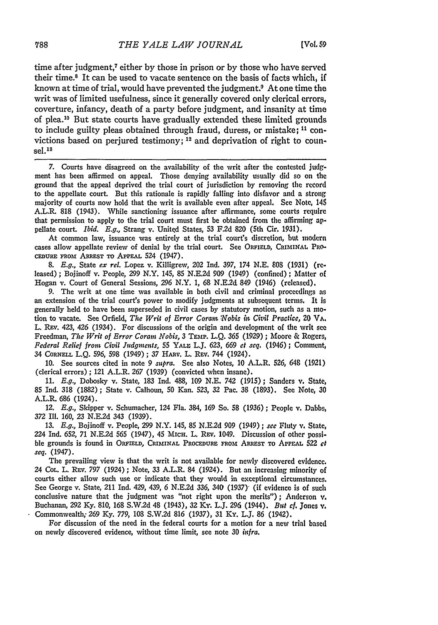time after judgment,<sup>7</sup> either by those in prison or by those who have served their time.<sup>8</sup> It can be used to vacate sentence on the basis of facts which, if known at time of trial, would have prevented the judgment.9 At one time the writ was of limited usefulness, since it generally covered only clerical errors, coverture, infancy, death of a party before judgment, and insanity at time of plea."0 But state courts have gradually extended these limited grounds to include guilty pleas obtained through fraud, duress, or mistake; **11** convictions based on perjured testimony; 12 and deprivation of right to coun $sel<sup>13</sup>$ 

7. Courts have disagreed on the availability of the writ after the contested judgment has been affirmed on appeal. Those denying availability usually did so on the ground that the appeal deprived the trial court of jurisdiction by removing the record to the appellate court. But this rationale is rapidly falling into disfavor and a strong majority of courts now hold that the writ is available even after appeal. See Note, 145 A.L.R. 818 (1943). While sanctioning issuance after affirmance, some courts require that permission to apply to the trial court must first be obtained from the affirming **ap**pellate court. *Ibid.* E.g., Strang v. United States, 53 F.2d **820** (5th Cir. 1931).

At common law, issuance was entirely at the trial court's discretion, but modern cases allow appellate review of denial by the trial court. See ORFIELD, CRIMINAL PRO-CEDURE FROM ARREST TO APPEAL 524 (1947).

*8. E.g.,* State *ex rel.* Lopez v. Killigrew, 202 Ind. 397, 174 N.E. **808** (1931) (released) ; Bojinoff v. People, 299 N.Y. 145, 85 N.E.2d **909** (1949) (confined) **;** Matter **of** Hogan v. Court of General Sessions, **296** N.Y. *1,* 68 N.E.2d 849 (1946) (released).

9. The writ at one time was available in both civil and criminal proceedings as an extension of the trial court's power to modify judgments at subsequent terms. It is generally held to have been superseded in civil cases by statutory motion, such as a **mo**tion to vacate. See Orfield, *The Writ of Error Coram Nobis in Civil Practice,* 20 **VA.** L. REV. 423, 426 (1934). For discussions of the origin and development of the writ see Freedman, *The Writ of Error Coram Nobis*, 3 TEMP. L.Q. 365 (1929) ; Moore & Rogers, *Federal Relief from Civil Judgments,* **55** YALE L.J. 623, 669 *et seq.* (1946) **;** Comment, 34 CORNELL L.Q. 596, 598 (1949); 37 HARV. L. REV. 744 (1924).

10. See sources cited in note 9 *supra.* See also Notes, 10 A.L.R. 526, 648 (1921) (clerical errors) ; 121 A.L.R. 267 (1939) (convicted when insane).

11. *E.g.,* Dobosky v. State, 183 Ind. 488, 109 N.E. 742 (1915); Sanders **v.** State, **85** Ind. **318** (1882) ; State v. Calhoun, 50 Kan. 523, **32** Pac. 38 (1893). See Note, 30 A.L.R. 686 (1924).

*12. E.g.,* Skipper v. Schumacher, 124 Fla. 384, 169 So. 58 (1936) ; People v. Dabbs, *372* Ill. *160,* 23 N.E.2d 343 (1939).

**13.** *E.g.,* Bojinoff v. People, 299 N.Y. 145, 85 N.E.2d 909 (1949); *see* Fluty v. State, 224 Ind. **652,** 71 **N.E2d 565** (1947), 45 MICH. L. REv, 1049. Discussion of other possible grounds is found in ORFIELD, CRIMINAL PROCEDURE FROM ARREST TO APPEAL 522 et *seq.* (1947).

The prevailing view is that the writ is not available for newly discovered evidence, 24 Col. L. REV. 797 (1924); Note, 33 A.L.R. 84 (1924). But an increasing minority of courts either allow such use or indicate that they would in exceptional circumstances. See George v. State, 211 Ind. 429, 439, 6 N.E.2d 336, 340 (1937) (if evidence is of such conclusive nature that the judgment was "not right upon the merits"); Anderson v. Buchanan, 292 Ky. 810, 168 S.W.2d 48 (1943), 32 Ky. L.J. 296 (1944). *But cf.* Jones v. Commonwealth; *269* Ky. 779, 108 S.W.2d 816 (1937), 31 Ky. L.J. 86 (1942).

For discussion of the need in the federal courts for a motion for a new trial based on newly discovered evidence, without time limit, see note 30 *infra.*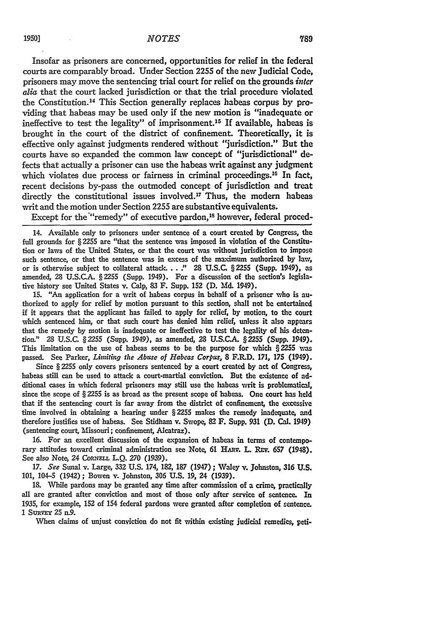Insofar as prisoners are concerned, opportunities for relief in the federal courts are comparably broad. Under Section 2255 of the new Judicial Code, prisoners may move the sentencing trial court for relief on the grounds *inter alia* that the court lacked jurisdiction or that the trial procedure violated the Constitution. 14 This Section generally replaces habeas corpus by providing that habeas may be used only if the new motion is "inadequate or ineffective to test the legality" of imprisonment.<sup>15</sup> If available, habeas is brought in the court of the district of confinement. Theoretically, it is effective only against judgments rendered without "jurisdiction." But the courts have so expanded the common law concept of "jurisdictional" defects that actually a prisoner can use the habeas writ against any judgment which violates due process or fairness in criminal proceedings.<sup>16</sup> In fact, recent decisions by-pass the outmoded concept of jurisdiction and treat directly the constitutional issues involved.<sup>17</sup> Thus, the modern habeas writ and the motion under Section 2255 are substantive equivalents.

Except for the "remedy" of executive pardon,<sup>18</sup> however, federal proced-

14. Available only to prisoners under sentence of a court created by Congress, the full grounds for § 2255 are "that the sentence was imposed in violation of the Constitution or laws of the United States, or that the court was without jurisdiction to impose such sentence, or that the sentence was in excess of the maximum authorized by law, or is otherwise subject to collateral attack **. . ."** 28 U.S.C. **§2255** (Supp. 1949), as amended, 28 **U.S.C.A. §2255** (Supp. 1949). For a discussion of the section's legislative history see United States v. Calp, **83** F. Supp. **152 (D. Md.** 1949).

**15.** "An application for a writ of habeas corpus in behalf of a prisoner who is authorized to apply for relief by motion pursuant to this section, shall not be entertained **if** it appears that the applicant has failed to apply for relief, by motion, to the court which sentenced him, or that such court has denied him relief, unless it also appears that the remedy by motion is inadequate or ineffective to test the legality of his detention." 28 **U.S.C.** §2255 (Supp. 1949), as amended, **28 U.S.C.A. §2255** (Supp. 1949). This limitation on the use of habeas seems to be the purpose for which §2255 was passed. See Parker, *Limiting the Abtse of Habeas Corpus,* **8** F.R.D. 171, 175 (1949).

Since § **2255** only covers prisoners sentenced **by** a court created **by** act of Congress, habeas still can be used to attack a court-martial conviction. But the existence of additional cases in which federal prisoners may still use the habeas writ is problematical, since the scope of **§ 2255** is as broad as the present scope of habeas. One court has **held** that if the sentencing court is far away from the district of confinement, the excessive time involved in obtaining a hearing under § **2255** makes the remedy inadequate, and therefore justifies use of habeas. See Stidham v. Swope, 82 F. Supp. **931 (D.** Cal. 1949) (sentencing court, Missouri; confinement, Alcatraz).

16. For an excellent discussion of the expansion of habeas in terms of contemporary attitudes toward criminal administration see Note, 61 HARV. L. REV. 657 (1948). See also Note, 24 CoRNELL L.Q. 270 (1939).

*17. See* Sunal v. Large, **332** U.S. 174, **182,** 187 (1947) **;** Valey v. Johnston, 316 U.S. 101, 104-5 (1942) **;** Bowen v. Johnston, **306** U.S. **19,** 24 (1939).

18. While pardons may be granted any time after commission of a crime, practically all are granted after conviction and most of those only after service of sentence. In 1935, for example, **152** of 154 federal pardons were granted after completion of sentence. 1 SURVEY 25 n.9.

When claims of unjust conviction do not fit within existing judicial remedies, peti-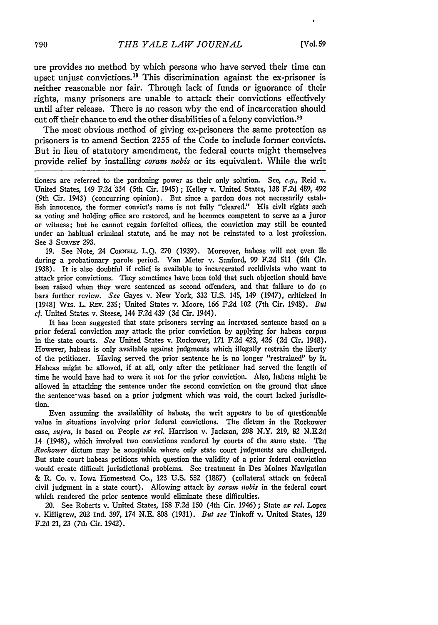ure provides no method by which persons who have served their time can upset unjust convictions.<sup>19</sup> This discrimination against the ex-prisoner is neither reasonable nor fair. Through lack of funds or ignorance of their rights, many prisoners are unable to attack their convictions effectively until after release. There is no reason why the end of incarceration should cut off their chance to end the other disabilities of a felony conviction.<sup>20</sup>

The most obvious method of giving ex-prisoners the same protection as prisoners is to amend Section 2255 of the Code to include former convicts. But in lieu of statutory amendment, the federal courts might themselves provide relief by installing *coram nobis* or its equivalent. While the writ

tioners are referred to the pardoning power as their only solution. See, *e.g.,* Reid v. United States, 149 F.2d **334** (5th Cir. 1945) ; Kelley v. United States, **138** F.2d 489, 492 (9th Cir. 1943) (concurring opinion). But since a pardon does not necessarily establish innocence, the former convict's name is not fully "cleared." His civil rights such as voting and holding office are restored, and he becomes competent to serve as a juror or witness; but he cannot regain forfeited offices, the conviction may still be counted under an habitual criminal statute, and he may not be reinstated to a lost profession. See **3** SuRvEY 293.

19. See Note, 24 CORNELL L.Q. 270 (1939). Moreover, habeas will not even **lie** during a probationary parole period. Van Meter v. Sanford, 99 F.2d 511 (5th Cir. 1938). It is also doubtful if relief is available to incarcerated recidivists who want to attack prior convictions. They sometimes have been told that such objection should have been raised when they were sentenced as second offenders, and that failure to do so bars further review. *See* Gayes v. New York, **332** U.S. 145, 149 (1947), criticized in [1948] Wis. L. Rv. 235; United States v. Moore, **166** F.2d **102** (7th Cir. 1948). *But cf.* United States v. Steese, 144 F.2d 439 **(3d** Cir. 1944).

It has been suggested that state prisoners serving an increased sentence based on a prior federal conviction may attack the prior conviction by applying for habeas corpus in the state courts. *See* United States v. Rockower, 171 F.2d 423, *426* **(2d** Cir. 1948). However, habeas is only available against judgments which illegally restrain the liberty of the petitioner. Having served the prior sentence he is no longer "restrained" by it. Habeas might be allowed, if at all, only after the petitioner had served the length of time he would have had to were it not for the prior conviction. Also, habeas might be allowed in attacking the sentence under the second conviction on the ground that since the sentence-was based on a prior judgment which was void, the court lacked jurisdiction.

Even assuming the availability of habeas, the writ appears to be of questionable value in situations involving prior federal convictions. The dictum in the Rockower case, *supra,* is based on People *ex rel.* Harrison v. Jackson, **298** N.Y. **219, 82 N.E.2d** 14 (1948), which involved two convictions rendered **by** courts of the same state. The *Rockower* dictum may be acceptable where only state court judgments are challenged. But state court habeas petitions which question the validity of a prior federal conviction would create difficult jurisdictional problems. See treatment in Des Moines Navigation & R. Co. v. Iowa Homestead Co., **123 U.S. 552** (1887) (collateral attack on federal civil judgment in a state court). Allowing attack by *corarn nobis* in the federal court which rendered the prior sentence would eliminate these difficulties.

20. See Roberts v. United States, 158 F.2d 150 (4th Cir. 1946) ; State *cx rel.* Lopez v. Killigrew, 202 Ind. 397, 174 N.E. 808 (1931). *But see* Tinkoff v. United States, **<sup>129</sup>** F.2d 21, 23 (7th Cir. 1942).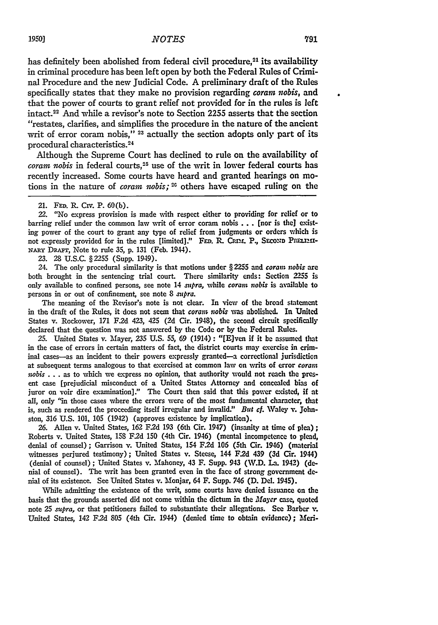has definitely been abolished from federal civil procedure,<sup>21</sup> its availability in criminal procedure has been left open by both the Federal Rules of Criminal Procedure and the new Judicial Code. A preliminary draft of the Rules specifically states that they make no provision regarding coram nobis, and that the power of courts to grant relief not provided for in the rules is left intact.22 And while a revisor's note to Section 2255 asserts that the section "restates, clarifies, and simplifies the procedure in the nature of the ancient writ of error coram nobis,"<sup>23</sup> actually the section adopts only part of its procedural characteristics.<sup>24</sup>

Although the Supreme Court has declined to rule on the availability of *coram nobis* in federal courts,<sup>25</sup> use of the writ in lower federal courts has recently increased. Some courts have heard and granted hearings on motions in the nature of *coram nobis*;<sup>26</sup> others have escaped ruling on the

22. "No express provision is made with respect either to providing for relief or to barring relief under the common law writ of error coram nobis ... [nor is the] existing power of the court to grant any type of relief from judgments or orders which is not expressly provided for in the rules [limited]." FED. R. CRIM. P., SECOND PRELEM-**NARY** DRAr, Note to rule 35, p. 131 (Feb. 1944).

23. 28 U.S.C. §2255 (Supp. 1949).

24. The only procedural similarity is that motions under § 2255 and coram *nobis* are both brought in the sentencing trial court. There similarity ends: Section **2255** is only available to confined persons, see note 14 *supra,* while coram *nobis* is available to persons in or out of confinement, see note 8 *supra.*

The meaning of the Revisor's note is not clear. In view of the broad statement in the draft of the Rules, it does not seem that coran *nobis* was abolished. In United States v. Rockower, **171 F2d** 423, 425 (2d Cir. 1948), the second circuit specifically declared that the question was not answered by the Code or **by** the Federal Rules.

25. United States v. Mayer, **235** U.S. **55,** 69 (1914): "[E]ven if it **be** assumed that in the case of errors in certain matters of fact, the district courts may exercise in criminal cases-as an incident to their powers expressly granted-a correctional jurisdiction at subsequent terms analogous to that exercised at common law on writs of error *coram*  $nobis...$  as to which we express no opinion, that authority would not reach the present case [prejudicial misconduct of a United States Attorney and concealed bias of juror on voir dire examination]." The Court then said that this power existed, if at all, only "in those cases where the errors were of the most fundamental character, that is, such as rendered the proceeding itself irregular and invalid." *But cf.* Waley v. Johnston, 316 U.S. 101, 105 (1942) (approves existence by implication).

26. Allen v. United States, **162** F.2d **193** (6th Cir. 1947) (insanity at time of plea); Roberts v. United States, 158 F2d **150** (4th Cir. 1946) (mental incompetence to plead, denial of counsel) ; Garrison v. United States, 154 F.2d **106** (5th Cir. 1946) (material witnesses perjured testimony); United States v. Steese, 144 F.2d 439 **(3d** Cir. 1944) (denial of counsel) ; United States v. Mahoney, 43 F. Supp. 943 (W.D. La. 1942) (denial of counsel). The writ has been granted even in the face of strong government denial of its existence. See United States v. Monjar, 64 F. Supp. 746 **(D.** Del. 1945).

While admitting the existence of the writ, some courts have denied issuance on the basis that the grounds asserted did not come within the dictum in the  $Mayer$  case, quoted note **25** *supra,* or that petitioners failed to substantiate their allegations. See Barber v. United States, 142 F.2d 805 (4th Cir. 1944) (denied time to obtain evidence); Meri-

<sup>21.</sup> **FED.** R. Civ. P. 60(b).